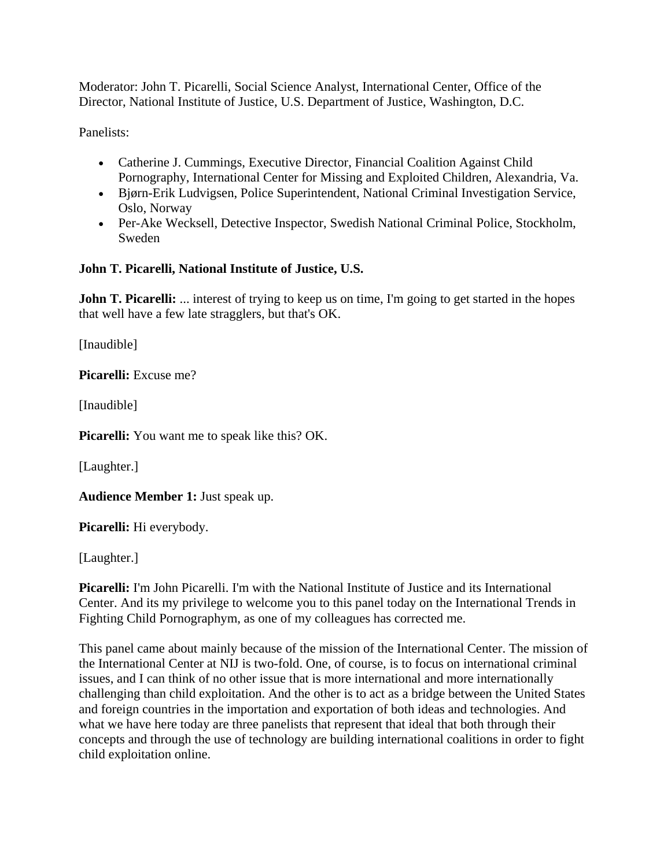Moderator: John T. Picarelli, Social Science Analyst, International Center, Office of the Director, National Institute of Justice, U.S. Department of Justice, Washington, D.C.

Panelists:

- Catherine J. Cummings, Executive Director, Financial Coalition Against Child Pornography, International Center for Missing and Exploited Children, Alexandria, Va.
- Bjørn-Erik Ludvigsen, Police Superintendent, National Criminal Investigation Service, Oslo, Norway
- Per-Ake Wecksell, Detective Inspector, Swedish National Criminal Police, Stockholm, Sweden

# **John T. Picarelli, National Institute of Justice, U.S.**

**John T. Picarelli:** ... interest of trying to keep us on time, I'm going to get started in the hopes that well have a few late stragglers, but that's OK.

[Inaudible]

**Picarelli:** Excuse me?

[Inaudible]

**Picarelli:** You want me to speak like this? OK.

[Laughter.]

**Audience Member 1:** Just speak up.

**Picarelli:** Hi everybody.

[Laughter.]

**Picarelli:** I'm John Picarelli. I'm with the National Institute of Justice and its International Center. And its my privilege to welcome you to this panel today on the International Trends in Fighting Child Pornographym, as one of my colleagues has corrected me.

This panel came about mainly because of the mission of the International Center. The mission of the International Center at NIJ is two-fold. One, of course, is to focus on international criminal issues, and I can think of no other issue that is more international and more internationally challenging than child exploitation. And the other is to act as a bridge between the United States and foreign countries in the importation and exportation of both ideas and technologies. And what we have here today are three panelists that represent that ideal that both through their concepts and through the use of technology are building international coalitions in order to fight child exploitation online.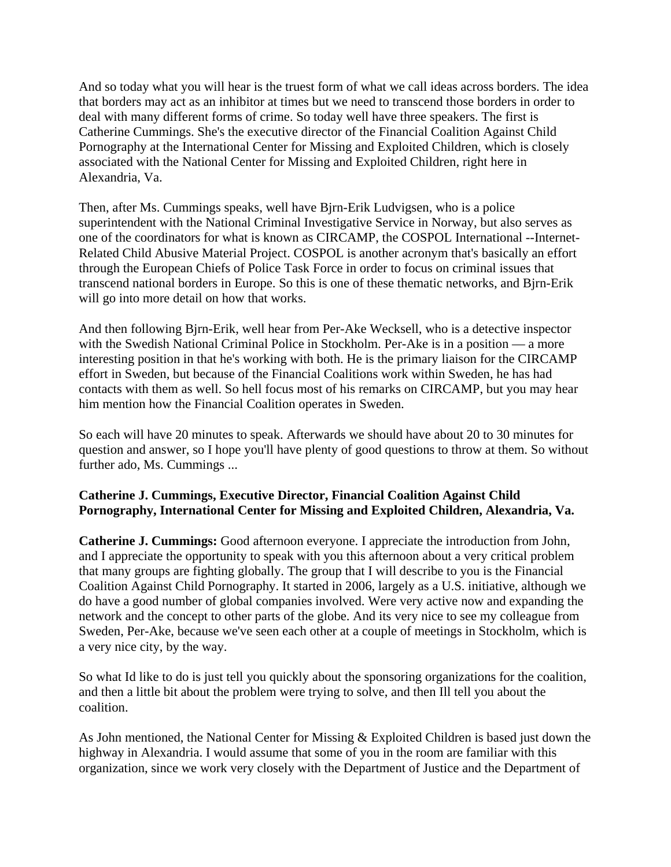And so today what you will hear is the truest form of what we call ideas across borders. The idea that borders may act as an inhibitor at times but we need to transcend those borders in order to deal with many different forms of crime. So today well have three speakers. The first is Catherine Cummings. She's the executive director of the Financial Coalition Against Child Pornography at the International Center for Missing and Exploited Children, which is closely associated with the National Center for Missing and Exploited Children, right here in Alexandria, Va.

Then, after Ms. Cummings speaks, well have Bjrn-Erik Ludvigsen, who is a police superintendent with the National Criminal Investigative Service in Norway, but also serves as one of the coordinators for what is known as CIRCAMP, the COSPOL International --Internet-Related Child Abusive Material Project. COSPOL is another acronym that's basically an effort through the European Chiefs of Police Task Force in order to focus on criminal issues that transcend national borders in Europe. So this is one of these thematic networks, and Bjrn-Erik will go into more detail on how that works.

And then following Bjrn-Erik, well hear from Per-Ake Wecksell, who is a detective inspector with the Swedish National Criminal Police in Stockholm. Per-Ake is in a position — a more interesting position in that he's working with both. He is the primary liaison for the CIRCAMP effort in Sweden, but because of the Financial Coalitions work within Sweden, he has had contacts with them as well. So hell focus most of his remarks on CIRCAMP, but you may hear him mention how the Financial Coalition operates in Sweden.

So each will have 20 minutes to speak. Afterwards we should have about 20 to 30 minutes for question and answer, so I hope you'll have plenty of good questions to throw at them. So without further ado, Ms. Cummings ...

### **Catherine J. Cummings, Executive Director, Financial Coalition Against Child Pornography, International Center for Missing and Exploited Children, Alexandria, Va.**

**Catherine J. Cummings:** Good afternoon everyone. I appreciate the introduction from John, and I appreciate the opportunity to speak with you this afternoon about a very critical problem that many groups are fighting globally. The group that I will describe to you is the Financial Coalition Against Child Pornography. It started in 2006, largely as a U.S. initiative, although we do have a good number of global companies involved. Were very active now and expanding the network and the concept to other parts of the globe. And its very nice to see my colleague from Sweden, Per-Ake, because we've seen each other at a couple of meetings in Stockholm, which is a very nice city, by the way.

So what Id like to do is just tell you quickly about the sponsoring organizations for the coalition, and then a little bit about the problem were trying to solve, and then Ill tell you about the coalition.

As John mentioned, the National Center for Missing & Exploited Children is based just down the highway in Alexandria. I would assume that some of you in the room are familiar with this organization, since we work very closely with the Department of Justice and the Department of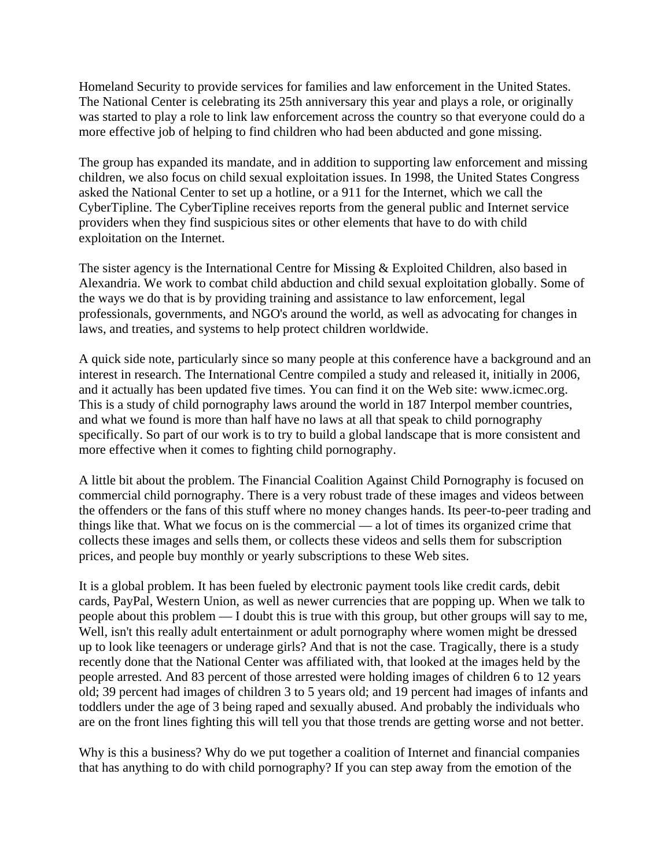Homeland Security to provide services for families and law enforcement in the United States. The National Center is celebrating its 25th anniversary this year and plays a role, or originally was started to play a role to link law enforcement across the country so that everyone could do a more effective job of helping to find children who had been abducted and gone missing.

The group has expanded its mandate, and in addition to supporting law enforcement and missing children, we also focus on child sexual exploitation issues. In 1998, the United States Congress asked the National Center to set up a hotline, or a 911 for the Internet, which we call the CyberTipline. The CyberTipline receives reports from the general public and Internet service providers when they find suspicious sites or other elements that have to do with child exploitation on the Internet.

The sister agency is the International Centre for Missing & Exploited Children, also based in Alexandria. We work to combat child abduction and child sexual exploitation globally. Some of the ways we do that is by providing training and assistance to law enforcement, legal professionals, governments, and NGO's around the world, as well as advocating for changes in laws, and treaties, and systems to help protect children worldwide.

A quick side note, particularly since so many people at this conference have a background and an interest in research. The International Centre compiled a study and released it, initially in 2006, and it actually has been updated five times. You can find it on the Web site: www.icmec.org. This is a study of child pornography laws around the world in 187 Interpol member countries, and what we found is more than half have no laws at all that speak to child pornography specifically. So part of our work is to try to build a global landscape that is more consistent and more effective when it comes to fighting child pornography.

A little bit about the problem. The Financial Coalition Against Child Pornography is focused on commercial child pornography. There is a very robust trade of these images and videos between the offenders or the fans of this stuff where no money changes hands. Its peer-to-peer trading and things like that. What we focus on is the commercial — a lot of times its organized crime that collects these images and sells them, or collects these videos and sells them for subscription prices, and people buy monthly or yearly subscriptions to these Web sites.

It is a global problem. It has been fueled by electronic payment tools like credit cards, debit cards, PayPal, Western Union, as well as newer currencies that are popping up. When we talk to people about this problem — I doubt this is true with this group, but other groups will say to me, Well, isn't this really adult entertainment or adult pornography where women might be dressed up to look like teenagers or underage girls? And that is not the case. Tragically, there is a study recently done that the National Center was affiliated with, that looked at the images held by the people arrested. And 83 percent of those arrested were holding images of children 6 to 12 years old; 39 percent had images of children 3 to 5 years old; and 19 percent had images of infants and toddlers under the age of 3 being raped and sexually abused. And probably the individuals who are on the front lines fighting this will tell you that those trends are getting worse and not better.

Why is this a business? Why do we put together a coalition of Internet and financial companies that has anything to do with child pornography? If you can step away from the emotion of the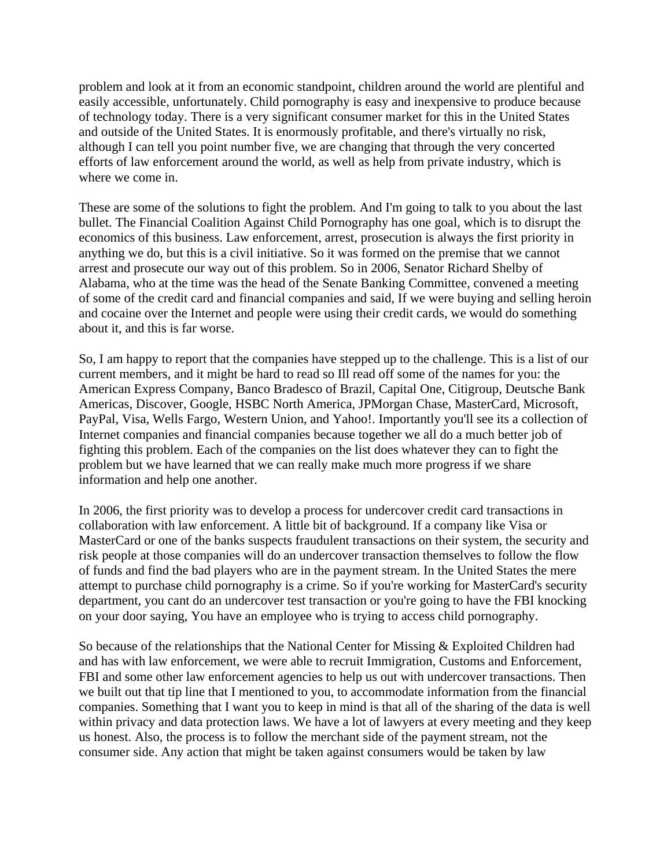problem and look at it from an economic standpoint, children around the world are plentiful and easily accessible, unfortunately. Child pornography is easy and inexpensive to produce because of technology today. There is a very significant consumer market for this in the United States and outside of the United States. It is enormously profitable, and there's virtually no risk, although I can tell you point number five, we are changing that through the very concerted efforts of law enforcement around the world, as well as help from private industry, which is where we come in.

These are some of the solutions to fight the problem. And I'm going to talk to you about the last bullet. The Financial Coalition Against Child Pornography has one goal, which is to disrupt the economics of this business. Law enforcement, arrest, prosecution is always the first priority in anything we do, but this is a civil initiative. So it was formed on the premise that we cannot arrest and prosecute our way out of this problem. So in 2006, Senator Richard Shelby of Alabama, who at the time was the head of the Senate Banking Committee, convened a meeting of some of the credit card and financial companies and said, If we were buying and selling heroin and cocaine over the Internet and people were using their credit cards, we would do something about it, and this is far worse.

So, I am happy to report that the companies have stepped up to the challenge. This is a list of our current members, and it might be hard to read so Ill read off some of the names for you: the American Express Company, Banco Bradesco of Brazil, Capital One, Citigroup, Deutsche Bank Americas, Discover, Google, HSBC North America, JPMorgan Chase, MasterCard, Microsoft, PayPal, Visa, Wells Fargo, Western Union, and Yahoo!. Importantly you'll see its a collection of Internet companies and financial companies because together we all do a much better job of fighting this problem. Each of the companies on the list does whatever they can to fight the problem but we have learned that we can really make much more progress if we share information and help one another.

In 2006, the first priority was to develop a process for undercover credit card transactions in collaboration with law enforcement. A little bit of background. If a company like Visa or MasterCard or one of the banks suspects fraudulent transactions on their system, the security and risk people at those companies will do an undercover transaction themselves to follow the flow of funds and find the bad players who are in the payment stream. In the United States the mere attempt to purchase child pornography is a crime. So if you're working for MasterCard's security department, you cant do an undercover test transaction or you're going to have the FBI knocking on your door saying, You have an employee who is trying to access child pornography.

So because of the relationships that the National Center for Missing & Exploited Children had and has with law enforcement, we were able to recruit Immigration, Customs and Enforcement, FBI and some other law enforcement agencies to help us out with undercover transactions. Then we built out that tip line that I mentioned to you, to accommodate information from the financial companies. Something that I want you to keep in mind is that all of the sharing of the data is well within privacy and data protection laws. We have a lot of lawyers at every meeting and they keep us honest. Also, the process is to follow the merchant side of the payment stream, not the consumer side. Any action that might be taken against consumers would be taken by law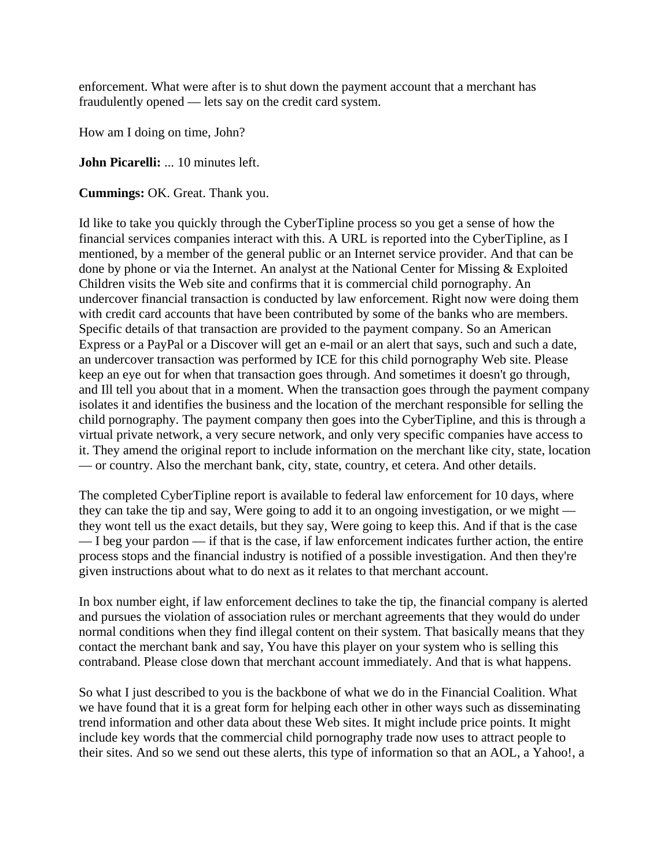enforcement. What were after is to shut down the payment account that a merchant has fraudulently opened — lets say on the credit card system.

How am I doing on time, John?

**John Picarelli:** ... 10 minutes left.

**Cummings:** OK. Great. Thank you.

Id like to take you quickly through the CyberTipline process so you get a sense of how the financial services companies interact with this. A URL is reported into the CyberTipline, as I mentioned, by a member of the general public or an Internet service provider. And that can be done by phone or via the Internet. An analyst at the National Center for Missing & Exploited Children visits the Web site and confirms that it is commercial child pornography. An undercover financial transaction is conducted by law enforcement. Right now were doing them with credit card accounts that have been contributed by some of the banks who are members. Specific details of that transaction are provided to the payment company. So an American Express or a PayPal or a Discover will get an e-mail or an alert that says, such and such a date, an undercover transaction was performed by ICE for this child pornography Web site. Please keep an eye out for when that transaction goes through. And sometimes it doesn't go through, and Ill tell you about that in a moment. When the transaction goes through the payment company isolates it and identifies the business and the location of the merchant responsible for selling the child pornography. The payment company then goes into the CyberTipline, and this is through a virtual private network, a very secure network, and only very specific companies have access to it. They amend the original report to include information on the merchant like city, state, location — or country. Also the merchant bank, city, state, country, et cetera. And other details.

The completed CyberTipline report is available to federal law enforcement for 10 days, where they can take the tip and say, Were going to add it to an ongoing investigation, or we might they wont tell us the exact details, but they say, Were going to keep this. And if that is the case — I beg your pardon — if that is the case, if law enforcement indicates further action, the entire process stops and the financial industry is notified of a possible investigation. And then they're given instructions about what to do next as it relates to that merchant account.

In box number eight, if law enforcement declines to take the tip, the financial company is alerted and pursues the violation of association rules or merchant agreements that they would do under normal conditions when they find illegal content on their system. That basically means that they contact the merchant bank and say, You have this player on your system who is selling this contraband. Please close down that merchant account immediately. And that is what happens.

So what I just described to you is the backbone of what we do in the Financial Coalition. What we have found that it is a great form for helping each other in other ways such as disseminating trend information and other data about these Web sites. It might include price points. It might include key words that the commercial child pornography trade now uses to attract people to their sites. And so we send out these alerts, this type of information so that an AOL, a Yahoo!, a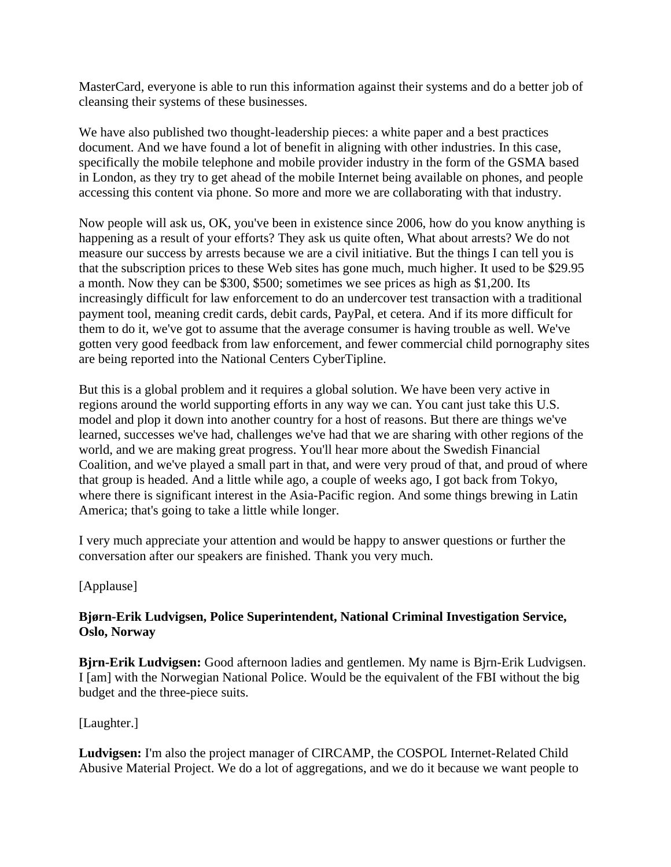MasterCard, everyone is able to run this information against their systems and do a better job of cleansing their systems of these businesses.

We have also published two thought-leadership pieces: a white paper and a best practices document. And we have found a lot of benefit in aligning with other industries. In this case, specifically the mobile telephone and mobile provider industry in the form of the GSMA based in London, as they try to get ahead of the mobile Internet being available on phones, and people accessing this content via phone. So more and more we are collaborating with that industry.

Now people will ask us, OK, you've been in existence since 2006, how do you know anything is happening as a result of your efforts? They ask us quite often, What about arrests? We do not measure our success by arrests because we are a civil initiative. But the things I can tell you is that the subscription prices to these Web sites has gone much, much higher. It used to be \$29.95 a month. Now they can be \$300, \$500; sometimes we see prices as high as \$1,200. Its increasingly difficult for law enforcement to do an undercover test transaction with a traditional payment tool, meaning credit cards, debit cards, PayPal, et cetera. And if its more difficult for them to do it, we've got to assume that the average consumer is having trouble as well. We've gotten very good feedback from law enforcement, and fewer commercial child pornography sites are being reported into the National Centers CyberTipline.

But this is a global problem and it requires a global solution. We have been very active in regions around the world supporting efforts in any way we can. You cant just take this U.S. model and plop it down into another country for a host of reasons. But there are things we've learned, successes we've had, challenges we've had that we are sharing with other regions of the world, and we are making great progress. You'll hear more about the Swedish Financial Coalition, and we've played a small part in that, and were very proud of that, and proud of where that group is headed. And a little while ago, a couple of weeks ago, I got back from Tokyo, where there is significant interest in the Asia-Pacific region. And some things brewing in Latin America; that's going to take a little while longer.

I very much appreciate your attention and would be happy to answer questions or further the conversation after our speakers are finished. Thank you very much.

## [Applause]

### **Bjørn-Erik Ludvigsen, Police Superintendent, National Criminal Investigation Service, Oslo, Norway**

**Bjrn-Erik Ludvigsen:** Good afternoon ladies and gentlemen. My name is Bjrn-Erik Ludvigsen. I [am] with the Norwegian National Police. Would be the equivalent of the FBI without the big budget and the three-piece suits.

#### [Laughter.]

**Ludvigsen:** I'm also the project manager of CIRCAMP, the COSPOL Internet-Related Child Abusive Material Project. We do a lot of aggregations, and we do it because we want people to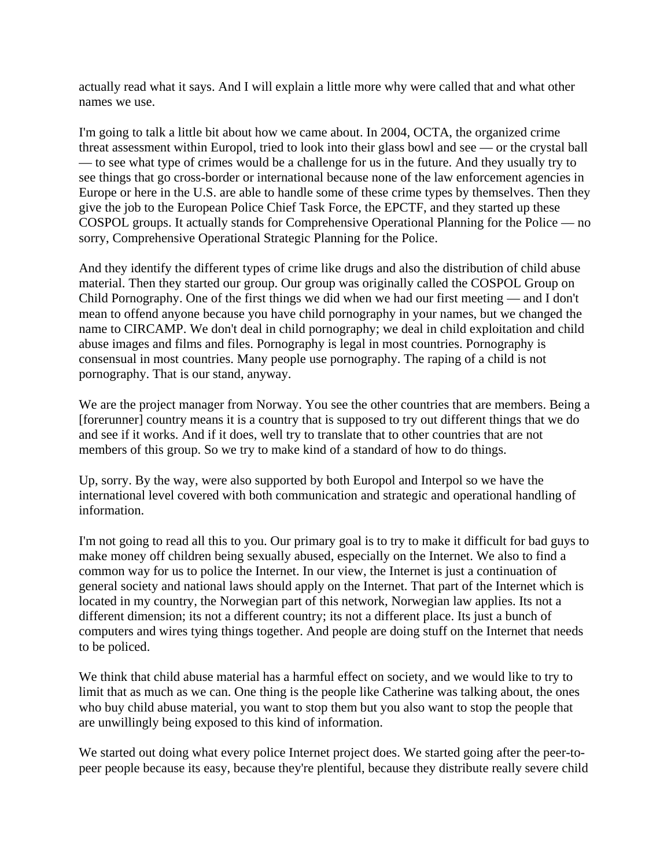actually read what it says. And I will explain a little more why were called that and what other names we use.

I'm going to talk a little bit about how we came about. In 2004, OCTA, the organized crime threat assessment within Europol, tried to look into their glass bowl and see — or the crystal ball — to see what type of crimes would be a challenge for us in the future. And they usually try to see things that go cross-border or international because none of the law enforcement agencies in Europe or here in the U.S. are able to handle some of these crime types by themselves. Then they give the job to the European Police Chief Task Force, the EPCTF, and they started up these COSPOL groups. It actually stands for Comprehensive Operational Planning for the Police — no sorry, Comprehensive Operational Strategic Planning for the Police.

And they identify the different types of crime like drugs and also the distribution of child abuse material. Then they started our group. Our group was originally called the COSPOL Group on Child Pornography. One of the first things we did when we had our first meeting — and I don't mean to offend anyone because you have child pornography in your names, but we changed the name to CIRCAMP. We don't deal in child pornography; we deal in child exploitation and child abuse images and films and files. Pornography is legal in most countries. Pornography is consensual in most countries. Many people use pornography. The raping of a child is not pornography. That is our stand, anyway.

We are the project manager from Norway. You see the other countries that are members. Being a [forerunner] country means it is a country that is supposed to try out different things that we do and see if it works. And if it does, well try to translate that to other countries that are not members of this group. So we try to make kind of a standard of how to do things.

Up, sorry. By the way, were also supported by both Europol and Interpol so we have the international level covered with both communication and strategic and operational handling of information.

I'm not going to read all this to you. Our primary goal is to try to make it difficult for bad guys to make money off children being sexually abused, especially on the Internet. We also to find a common way for us to police the Internet. In our view, the Internet is just a continuation of general society and national laws should apply on the Internet. That part of the Internet which is located in my country, the Norwegian part of this network, Norwegian law applies. Its not a different dimension; its not a different country; its not a different place. Its just a bunch of computers and wires tying things together. And people are doing stuff on the Internet that needs to be policed.

We think that child abuse material has a harmful effect on society, and we would like to try to limit that as much as we can. One thing is the people like Catherine was talking about, the ones who buy child abuse material, you want to stop them but you also want to stop the people that are unwillingly being exposed to this kind of information.

We started out doing what every police Internet project does. We started going after the peer-topeer people because its easy, because they're plentiful, because they distribute really severe child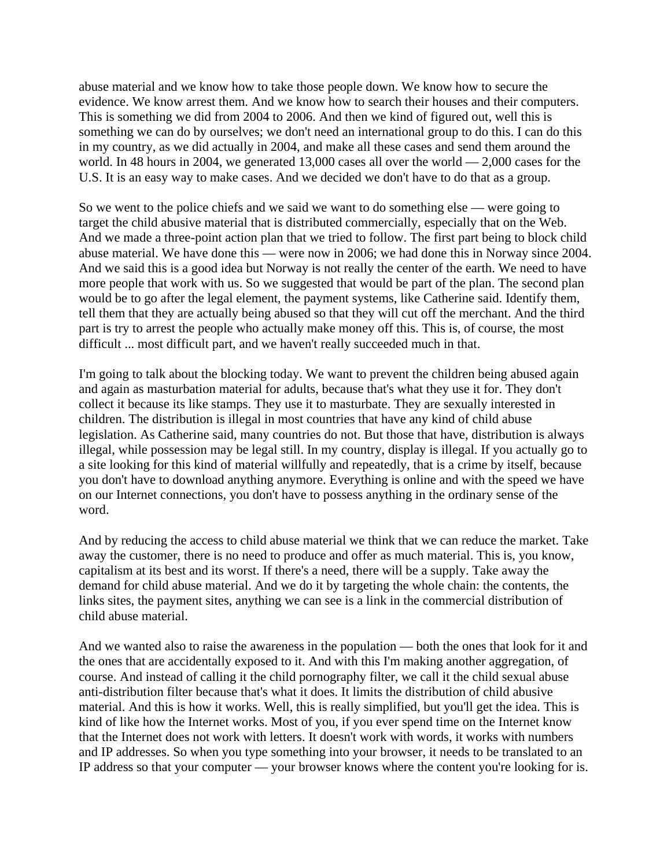abuse material and we know how to take those people down. We know how to secure the evidence. We know arrest them. And we know how to search their houses and their computers. This is something we did from 2004 to 2006. And then we kind of figured out, well this is something we can do by ourselves; we don't need an international group to do this. I can do this in my country, as we did actually in 2004, and make all these cases and send them around the world. In 48 hours in 2004, we generated 13,000 cases all over the world — 2,000 cases for the U.S. It is an easy way to make cases. And we decided we don't have to do that as a group.

So we went to the police chiefs and we said we want to do something else — were going to target the child abusive material that is distributed commercially, especially that on the Web. And we made a three-point action plan that we tried to follow. The first part being to block child abuse material. We have done this — were now in 2006; we had done this in Norway since 2004. And we said this is a good idea but Norway is not really the center of the earth. We need to have more people that work with us. So we suggested that would be part of the plan. The second plan would be to go after the legal element, the payment systems, like Catherine said. Identify them, tell them that they are actually being abused so that they will cut off the merchant. And the third part is try to arrest the people who actually make money off this. This is, of course, the most difficult ... most difficult part, and we haven't really succeeded much in that.

I'm going to talk about the blocking today. We want to prevent the children being abused again and again as masturbation material for adults, because that's what they use it for. They don't collect it because its like stamps. They use it to masturbate. They are sexually interested in children. The distribution is illegal in most countries that have any kind of child abuse legislation. As Catherine said, many countries do not. But those that have, distribution is always illegal, while possession may be legal still. In my country, display is illegal. If you actually go to a site looking for this kind of material willfully and repeatedly, that is a crime by itself, because you don't have to download anything anymore. Everything is online and with the speed we have on our Internet connections, you don't have to possess anything in the ordinary sense of the word.

And by reducing the access to child abuse material we think that we can reduce the market. Take away the customer, there is no need to produce and offer as much material. This is, you know, capitalism at its best and its worst. If there's a need, there will be a supply. Take away the demand for child abuse material. And we do it by targeting the whole chain: the contents, the links sites, the payment sites, anything we can see is a link in the commercial distribution of child abuse material.

And we wanted also to raise the awareness in the population — both the ones that look for it and the ones that are accidentally exposed to it. And with this I'm making another aggregation, of course. And instead of calling it the child pornography filter, we call it the child sexual abuse anti-distribution filter because that's what it does. It limits the distribution of child abusive material. And this is how it works. Well, this is really simplified, but you'll get the idea. This is kind of like how the Internet works. Most of you, if you ever spend time on the Internet know that the Internet does not work with letters. It doesn't work with words, it works with numbers and IP addresses. So when you type something into your browser, it needs to be translated to an IP address so that your computer — your browser knows where the content you're looking for is.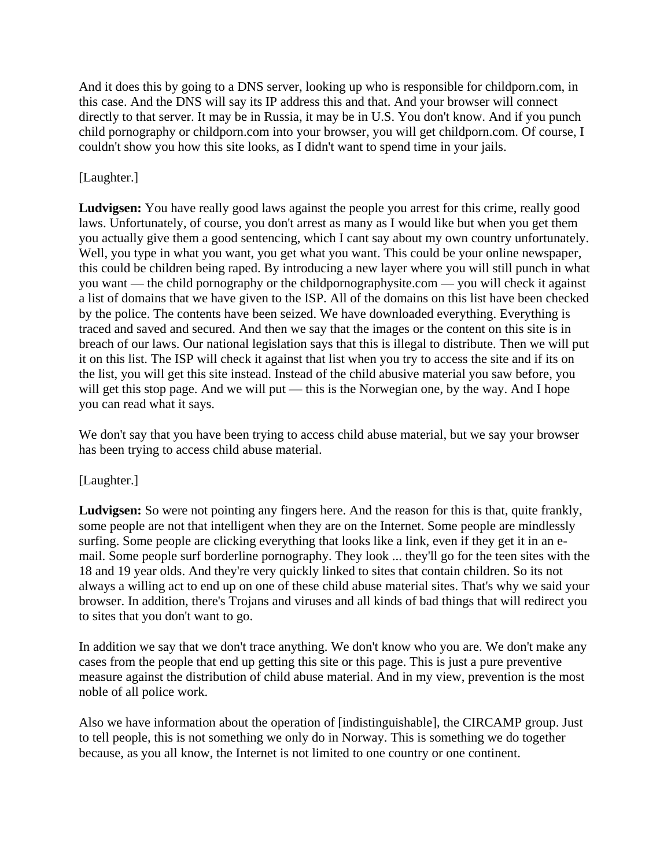And it does this by going to a DNS server, looking up who is responsible for childporn.com, in this case. And the DNS will say its IP address this and that. And your browser will connect directly to that server. It may be in Russia, it may be in U.S. You don't know. And if you punch child pornography or childporn.com into your browser, you will get childporn.com. Of course, I couldn't show you how this site looks, as I didn't want to spend time in your jails.

## [Laughter.]

**Ludvigsen:** You have really good laws against the people you arrest for this crime, really good laws. Unfortunately, of course, you don't arrest as many as I would like but when you get them you actually give them a good sentencing, which I cant say about my own country unfortunately. Well, you type in what you want, you get what you want. This could be your online newspaper, this could be children being raped. By introducing a new layer where you will still punch in what you want — the child pornography or the childpornographysite.com — you will check it against a list of domains that we have given to the ISP. All of the domains on this list have been checked by the police. The contents have been seized. We have downloaded everything. Everything is traced and saved and secured. And then we say that the images or the content on this site is in breach of our laws. Our national legislation says that this is illegal to distribute. Then we will put it on this list. The ISP will check it against that list when you try to access the site and if its on the list, you will get this site instead. Instead of the child abusive material you saw before, you will get this stop page. And we will put — this is the Norwegian one, by the way. And I hope you can read what it says.

We don't say that you have been trying to access child abuse material, but we say your browser has been trying to access child abuse material.

## [Laughter.]

**Ludvigsen:** So were not pointing any fingers here. And the reason for this is that, quite frankly, some people are not that intelligent when they are on the Internet. Some people are mindlessly surfing. Some people are clicking everything that looks like a link, even if they get it in an email. Some people surf borderline pornography. They look ... they'll go for the teen sites with the 18 and 19 year olds. And they're very quickly linked to sites that contain children. So its not always a willing act to end up on one of these child abuse material sites. That's why we said your browser. In addition, there's Trojans and viruses and all kinds of bad things that will redirect you to sites that you don't want to go.

In addition we say that we don't trace anything. We don't know who you are. We don't make any cases from the people that end up getting this site or this page. This is just a pure preventive measure against the distribution of child abuse material. And in my view, prevention is the most noble of all police work.

Also we have information about the operation of [indistinguishable], the CIRCAMP group. Just to tell people, this is not something we only do in Norway. This is something we do together because, as you all know, the Internet is not limited to one country or one continent.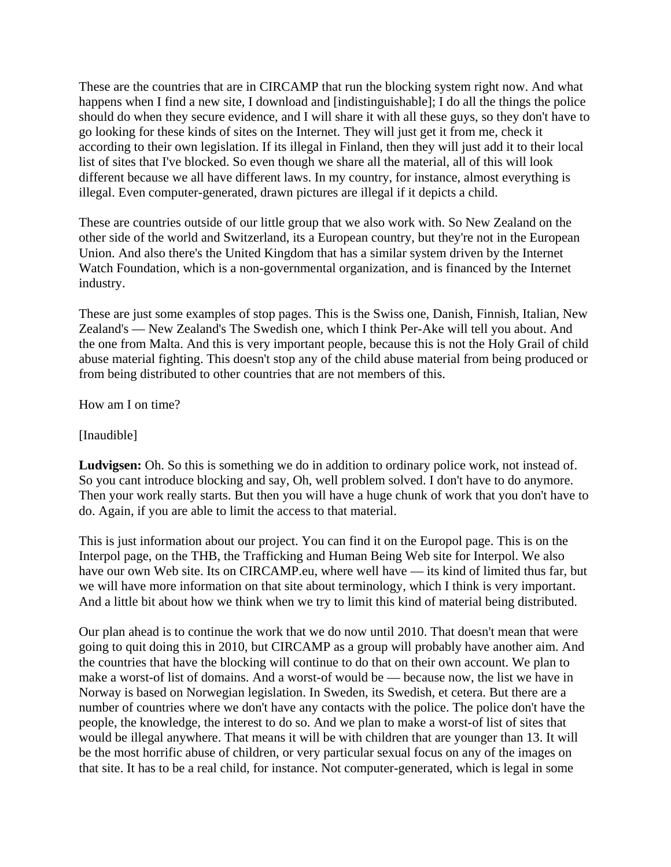These are the countries that are in CIRCAMP that run the blocking system right now. And what happens when I find a new site, I download and [indistinguishable]; I do all the things the police should do when they secure evidence, and I will share it with all these guys, so they don't have to go looking for these kinds of sites on the Internet. They will just get it from me, check it according to their own legislation. If its illegal in Finland, then they will just add it to their local list of sites that I've blocked. So even though we share all the material, all of this will look different because we all have different laws. In my country, for instance, almost everything is illegal. Even computer-generated, drawn pictures are illegal if it depicts a child.

These are countries outside of our little group that we also work with. So New Zealand on the other side of the world and Switzerland, its a European country, but they're not in the European Union. And also there's the United Kingdom that has a similar system driven by the Internet Watch Foundation, which is a non-governmental organization, and is financed by the Internet industry.

These are just some examples of stop pages. This is the Swiss one, Danish, Finnish, Italian, New Zealand's — New Zealand's The Swedish one, which I think Per-Ake will tell you about. And the one from Malta. And this is very important people, because this is not the Holy Grail of child abuse material fighting. This doesn't stop any of the child abuse material from being produced or from being distributed to other countries that are not members of this.

How am I on time?

[Inaudible]

**Ludvigsen:** Oh. So this is something we do in addition to ordinary police work, not instead of. So you cant introduce blocking and say, Oh, well problem solved. I don't have to do anymore. Then your work really starts. But then you will have a huge chunk of work that you don't have to do. Again, if you are able to limit the access to that material.

This is just information about our project. You can find it on the Europol page. This is on the Interpol page, on the THB, the Trafficking and Human Being Web site for Interpol. We also have our own Web site. Its on CIRCAMP.eu, where well have — its kind of limited thus far, but we will have more information on that site about terminology, which I think is very important. And a little bit about how we think when we try to limit this kind of material being distributed.

Our plan ahead is to continue the work that we do now until 2010. That doesn't mean that were going to quit doing this in 2010, but CIRCAMP as a group will probably have another aim. And the countries that have the blocking will continue to do that on their own account. We plan to make a worst-of list of domains. And a worst-of would be — because now, the list we have in Norway is based on Norwegian legislation. In Sweden, its Swedish, et cetera. But there are a number of countries where we don't have any contacts with the police. The police don't have the people, the knowledge, the interest to do so. And we plan to make a worst-of list of sites that would be illegal anywhere. That means it will be with children that are younger than 13. It will be the most horrific abuse of children, or very particular sexual focus on any of the images on that site. It has to be a real child, for instance. Not computer-generated, which is legal in some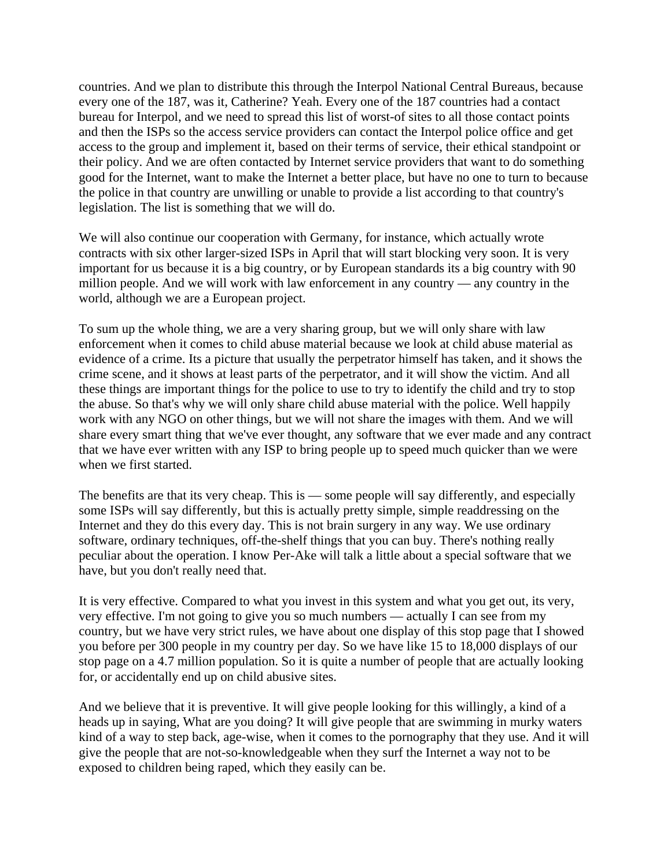countries. And we plan to distribute this through the Interpol National Central Bureaus, because every one of the 187, was it, Catherine? Yeah. Every one of the 187 countries had a contact bureau for Interpol, and we need to spread this list of worst-of sites to all those contact points and then the ISPs so the access service providers can contact the Interpol police office and get access to the group and implement it, based on their terms of service, their ethical standpoint or their policy. And we are often contacted by Internet service providers that want to do something good for the Internet, want to make the Internet a better place, but have no one to turn to because the police in that country are unwilling or unable to provide a list according to that country's legislation. The list is something that we will do.

We will also continue our cooperation with Germany, for instance, which actually wrote contracts with six other larger-sized ISPs in April that will start blocking very soon. It is very important for us because it is a big country, or by European standards its a big country with 90 million people. And we will work with law enforcement in any country — any country in the world, although we are a European project.

To sum up the whole thing, we are a very sharing group, but we will only share with law enforcement when it comes to child abuse material because we look at child abuse material as evidence of a crime. Its a picture that usually the perpetrator himself has taken, and it shows the crime scene, and it shows at least parts of the perpetrator, and it will show the victim. And all these things are important things for the police to use to try to identify the child and try to stop the abuse. So that's why we will only share child abuse material with the police. Well happily work with any NGO on other things, but we will not share the images with them. And we will share every smart thing that we've ever thought, any software that we ever made and any contract that we have ever written with any ISP to bring people up to speed much quicker than we were when we first started.

The benefits are that its very cheap. This is — some people will say differently, and especially some ISPs will say differently, but this is actually pretty simple, simple readdressing on the Internet and they do this every day. This is not brain surgery in any way. We use ordinary software, ordinary techniques, off-the-shelf things that you can buy. There's nothing really peculiar about the operation. I know Per-Ake will talk a little about a special software that we have, but you don't really need that.

It is very effective. Compared to what you invest in this system and what you get out, its very, very effective. I'm not going to give you so much numbers — actually I can see from my country, but we have very strict rules, we have about one display of this stop page that I showed you before per 300 people in my country per day. So we have like 15 to 18,000 displays of our stop page on a 4.7 million population. So it is quite a number of people that are actually looking for, or accidentally end up on child abusive sites.

And we believe that it is preventive. It will give people looking for this willingly, a kind of a heads up in saying, What are you doing? It will give people that are swimming in murky waters kind of a way to step back, age-wise, when it comes to the pornography that they use. And it will give the people that are not-so-knowledgeable when they surf the Internet a way not to be exposed to children being raped, which they easily can be.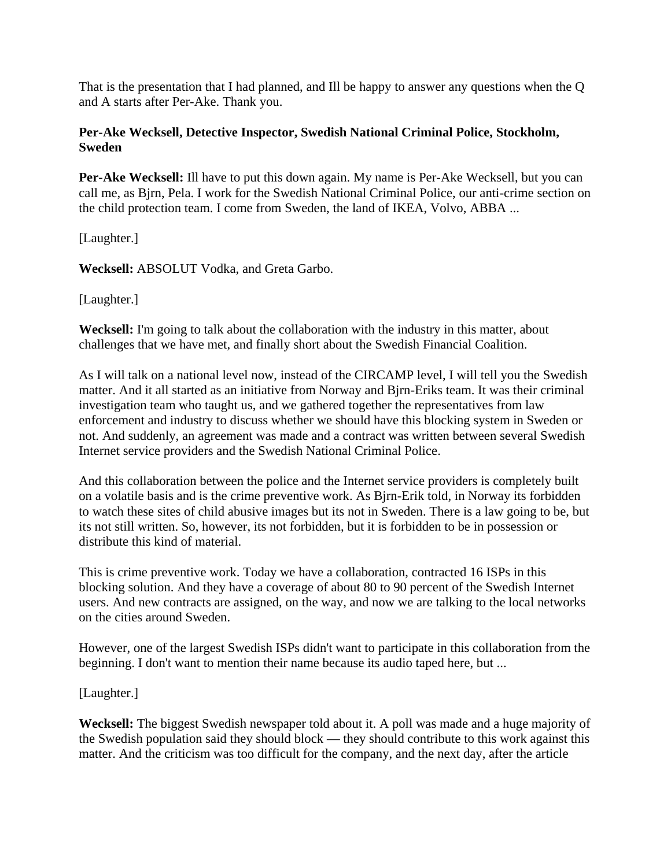That is the presentation that I had planned, and Ill be happy to answer any questions when the Q and A starts after Per-Ake. Thank you.

## **Per-Ake Wecksell, Detective Inspector, Swedish National Criminal Police, Stockholm, Sweden**

**Per-Ake Wecksell:** Ill have to put this down again. My name is Per-Ake Wecksell, but you can call me, as Bjrn, Pela. I work for the Swedish National Criminal Police, our anti-crime section on the child protection team. I come from Sweden, the land of IKEA, Volvo, ABBA ...

[Laughter.]

**Wecksell:** ABSOLUT Vodka, and Greta Garbo.

[Laughter.]

**Wecksell:** I'm going to talk about the collaboration with the industry in this matter, about challenges that we have met, and finally short about the Swedish Financial Coalition.

As I will talk on a national level now, instead of the CIRCAMP level, I will tell you the Swedish matter. And it all started as an initiative from Norway and Bjrn-Eriks team. It was their criminal investigation team who taught us, and we gathered together the representatives from law enforcement and industry to discuss whether we should have this blocking system in Sweden or not. And suddenly, an agreement was made and a contract was written between several Swedish Internet service providers and the Swedish National Criminal Police.

And this collaboration between the police and the Internet service providers is completely built on a volatile basis and is the crime preventive work. As Bjrn-Erik told, in Norway its forbidden to watch these sites of child abusive images but its not in Sweden. There is a law going to be, but its not still written. So, however, its not forbidden, but it is forbidden to be in possession or distribute this kind of material.

This is crime preventive work. Today we have a collaboration, contracted 16 ISPs in this blocking solution. And they have a coverage of about 80 to 90 percent of the Swedish Internet users. And new contracts are assigned, on the way, and now we are talking to the local networks on the cities around Sweden.

However, one of the largest Swedish ISPs didn't want to participate in this collaboration from the beginning. I don't want to mention their name because its audio taped here, but ...

[Laughter.]

**Wecksell:** The biggest Swedish newspaper told about it. A poll was made and a huge majority of the Swedish population said they should block — they should contribute to this work against this matter. And the criticism was too difficult for the company, and the next day, after the article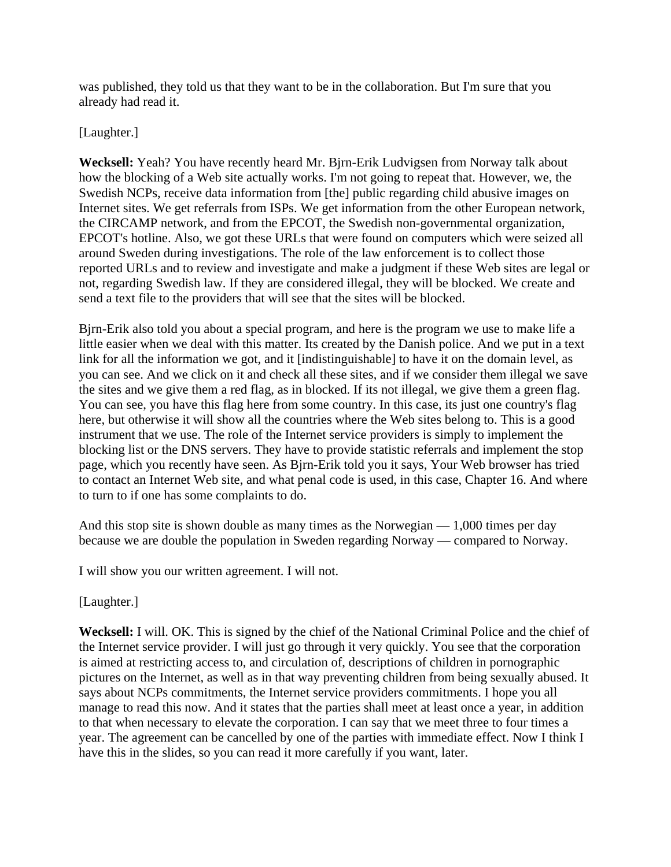was published, they told us that they want to be in the collaboration. But I'm sure that you already had read it.

### [Laughter.]

**Wecksell:** Yeah? You have recently heard Mr. Bjrn-Erik Ludvigsen from Norway talk about how the blocking of a Web site actually works. I'm not going to repeat that. However, we, the Swedish NCPs, receive data information from [the] public regarding child abusive images on Internet sites. We get referrals from ISPs. We get information from the other European network, the CIRCAMP network, and from the EPCOT, the Swedish non-governmental organization, EPCOT's hotline. Also, we got these URLs that were found on computers which were seized all around Sweden during investigations. The role of the law enforcement is to collect those reported URLs and to review and investigate and make a judgment if these Web sites are legal or not, regarding Swedish law. If they are considered illegal, they will be blocked. We create and send a text file to the providers that will see that the sites will be blocked.

Bjrn-Erik also told you about a special program, and here is the program we use to make life a little easier when we deal with this matter. Its created by the Danish police. And we put in a text link for all the information we got, and it [indistinguishable] to have it on the domain level, as you can see. And we click on it and check all these sites, and if we consider them illegal we save the sites and we give them a red flag, as in blocked. If its not illegal, we give them a green flag. You can see, you have this flag here from some country. In this case, its just one country's flag here, but otherwise it will show all the countries where the Web sites belong to. This is a good instrument that we use. The role of the Internet service providers is simply to implement the blocking list or the DNS servers. They have to provide statistic referrals and implement the stop page, which you recently have seen. As Bjrn-Erik told you it says, Your Web browser has tried to contact an Internet Web site, and what penal code is used, in this case, Chapter 16. And where to turn to if one has some complaints to do.

And this stop site is shown double as many times as the Norwegian  $-1,000$  times per day because we are double the population in Sweden regarding Norway — compared to Norway.

I will show you our written agreement. I will not.

[Laughter.]

**Wecksell:** I will. OK. This is signed by the chief of the National Criminal Police and the chief of the Internet service provider. I will just go through it very quickly. You see that the corporation is aimed at restricting access to, and circulation of, descriptions of children in pornographic pictures on the Internet, as well as in that way preventing children from being sexually abused. It says about NCPs commitments, the Internet service providers commitments. I hope you all manage to read this now. And it states that the parties shall meet at least once a year, in addition to that when necessary to elevate the corporation. I can say that we meet three to four times a year. The agreement can be cancelled by one of the parties with immediate effect. Now I think I have this in the slides, so you can read it more carefully if you want, later.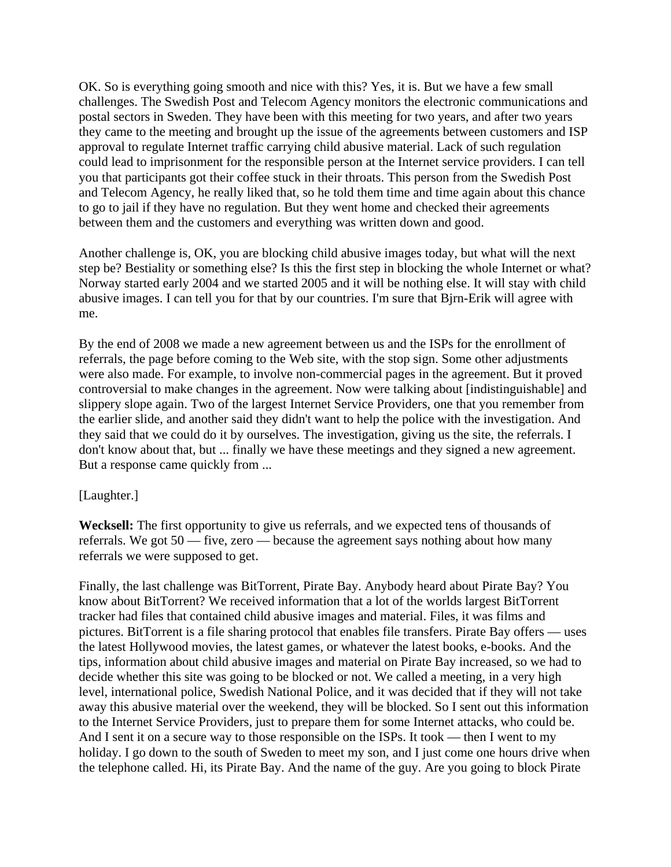OK. So is everything going smooth and nice with this? Yes, it is. But we have a few small challenges. The Swedish Post and Telecom Agency monitors the electronic communications and postal sectors in Sweden. They have been with this meeting for two years, and after two years they came to the meeting and brought up the issue of the agreements between customers and ISP approval to regulate Internet traffic carrying child abusive material. Lack of such regulation could lead to imprisonment for the responsible person at the Internet service providers. I can tell you that participants got their coffee stuck in their throats. This person from the Swedish Post and Telecom Agency, he really liked that, so he told them time and time again about this chance to go to jail if they have no regulation. But they went home and checked their agreements between them and the customers and everything was written down and good.

Another challenge is, OK, you are blocking child abusive images today, but what will the next step be? Bestiality or something else? Is this the first step in blocking the whole Internet or what? Norway started early 2004 and we started 2005 and it will be nothing else. It will stay with child abusive images. I can tell you for that by our countries. I'm sure that Bjrn-Erik will agree with me.

By the end of 2008 we made a new agreement between us and the ISPs for the enrollment of referrals, the page before coming to the Web site, with the stop sign. Some other adjustments were also made. For example, to involve non-commercial pages in the agreement. But it proved controversial to make changes in the agreement. Now were talking about [indistinguishable] and slippery slope again. Two of the largest Internet Service Providers, one that you remember from the earlier slide, and another said they didn't want to help the police with the investigation. And they said that we could do it by ourselves. The investigation, giving us the site, the referrals. I don't know about that, but ... finally we have these meetings and they signed a new agreement. But a response came quickly from ...

#### [Laughter.]

**Wecksell:** The first opportunity to give us referrals, and we expected tens of thousands of referrals. We got 50 — five, zero — because the agreement says nothing about how many referrals we were supposed to get.

Finally, the last challenge was BitTorrent, Pirate Bay. Anybody heard about Pirate Bay? You know about BitTorrent? We received information that a lot of the worlds largest BitTorrent tracker had files that contained child abusive images and material. Files, it was films and pictures. BitTorrent is a file sharing protocol that enables file transfers. Pirate Bay offers — uses the latest Hollywood movies, the latest games, or whatever the latest books, e-books. And the tips, information about child abusive images and material on Pirate Bay increased, so we had to decide whether this site was going to be blocked or not. We called a meeting, in a very high level, international police, Swedish National Police, and it was decided that if they will not take away this abusive material over the weekend, they will be blocked. So I sent out this information to the Internet Service Providers, just to prepare them for some Internet attacks, who could be. And I sent it on a secure way to those responsible on the ISPs. It took — then I went to my holiday. I go down to the south of Sweden to meet my son, and I just come one hours drive when the telephone called. Hi, its Pirate Bay. And the name of the guy. Are you going to block Pirate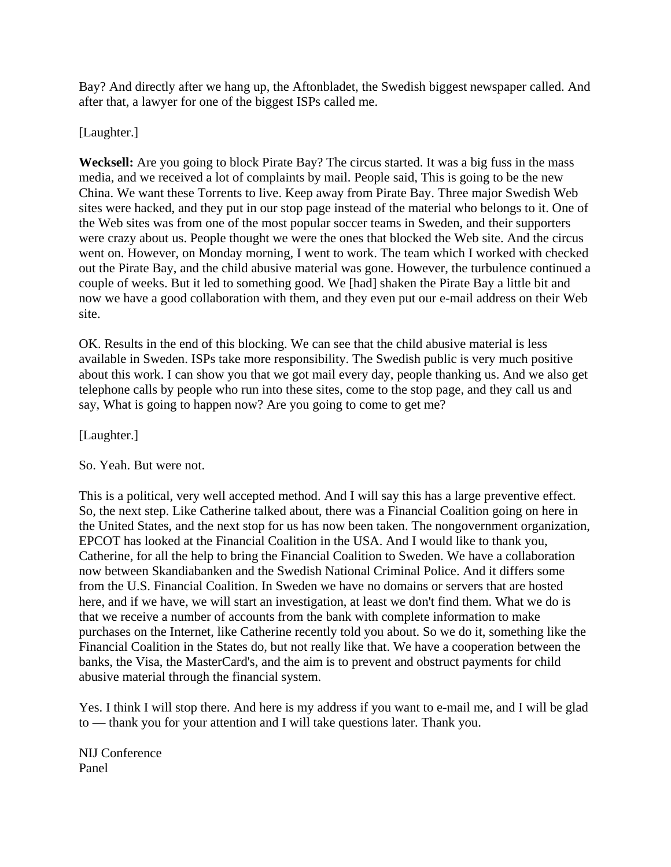Bay? And directly after we hang up, the Aftonbladet, the Swedish biggest newspaper called. And after that, a lawyer for one of the biggest ISPs called me.

### [Laughter.]

**Wecksell:** Are you going to block Pirate Bay? The circus started. It was a big fuss in the mass media, and we received a lot of complaints by mail. People said, This is going to be the new China. We want these Torrents to live. Keep away from Pirate Bay. Three major Swedish Web sites were hacked, and they put in our stop page instead of the material who belongs to it. One of the Web sites was from one of the most popular soccer teams in Sweden, and their supporters were crazy about us. People thought we were the ones that blocked the Web site. And the circus went on. However, on Monday morning, I went to work. The team which I worked with checked out the Pirate Bay, and the child abusive material was gone. However, the turbulence continued a couple of weeks. But it led to something good. We [had] shaken the Pirate Bay a little bit and now we have a good collaboration with them, and they even put our e-mail address on their Web site.

OK. Results in the end of this blocking. We can see that the child abusive material is less available in Sweden. ISPs take more responsibility. The Swedish public is very much positive about this work. I can show you that we got mail every day, people thanking us. And we also get telephone calls by people who run into these sites, come to the stop page, and they call us and say, What is going to happen now? Are you going to come to get me?

[Laughter.]

So. Yeah. But were not.

This is a political, very well accepted method. And I will say this has a large preventive effect. So, the next step. Like Catherine talked about, there was a Financial Coalition going on here in the United States, and the next stop for us has now been taken. The nongovernment organization, EPCOT has looked at the Financial Coalition in the USA. And I would like to thank you, Catherine, for all the help to bring the Financial Coalition to Sweden. We have a collaboration now between Skandiabanken and the Swedish National Criminal Police. And it differs some from the U.S. Financial Coalition. In Sweden we have no domains or servers that are hosted here, and if we have, we will start an investigation, at least we don't find them. What we do is that we receive a number of accounts from the bank with complete information to make purchases on the Internet, like Catherine recently told you about. So we do it, something like the Financial Coalition in the States do, but not really like that. We have a cooperation between the banks, the Visa, the MasterCard's, and the aim is to prevent and obstruct payments for child abusive material through the financial system.

Yes. I think I will stop there. And here is my address if you want to e-mail me, and I will be glad to — thank you for your attention and I will take questions later. Thank you.

NIJ Conference Panel